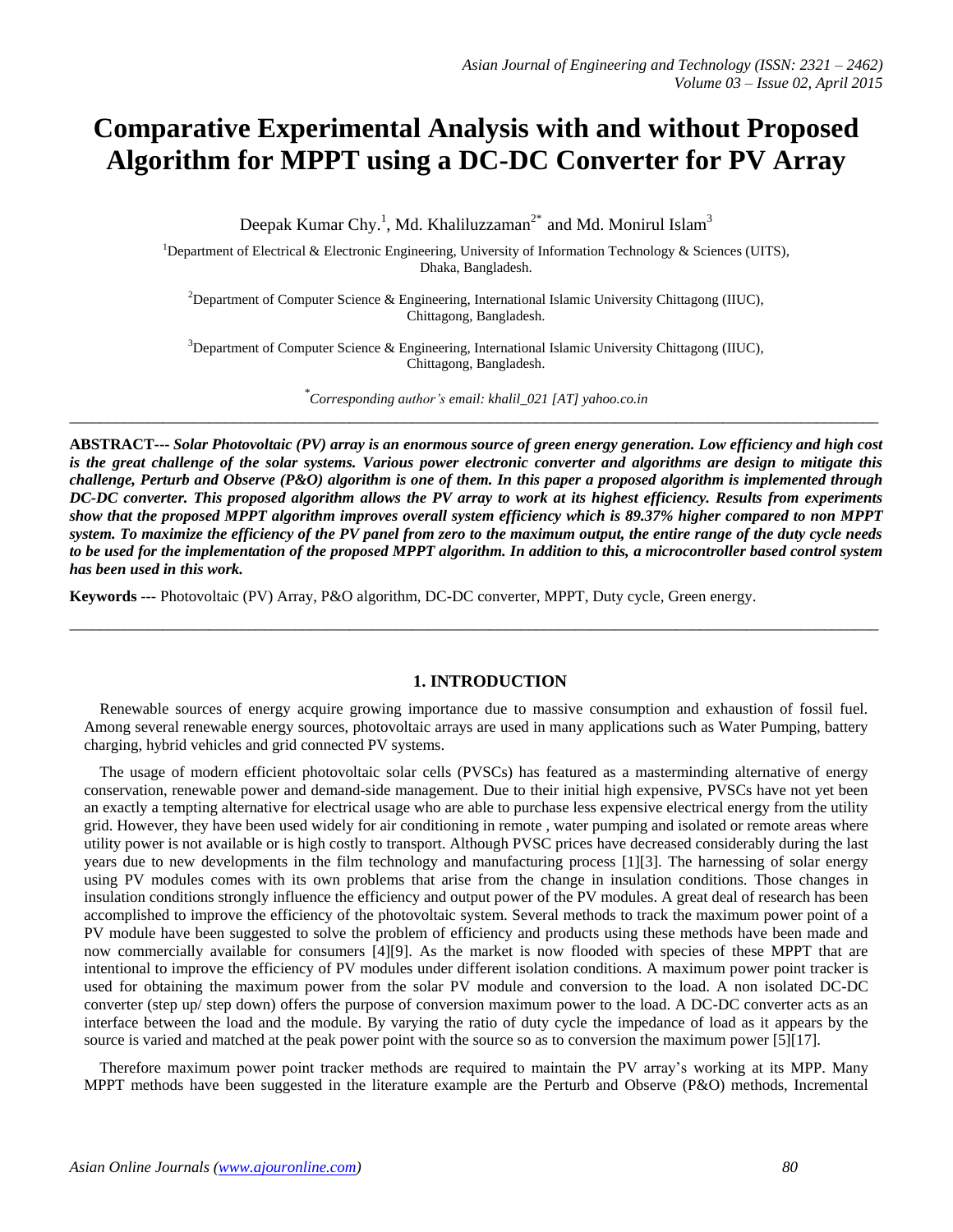# **Comparative Experimental Analysis with and without Proposed Algorithm for MPPT using a DC-DC Converter for PV Array**

Deepak Kumar Chy.<sup>1</sup>, Md. Khaliluzzaman<sup>2\*</sup> and Md. Monirul Islam<sup>3</sup>

<sup>1</sup>Department of Electrical & Electronic Engineering, University of Information Technology & Sciences (UITS), Dhaka, Bangladesh.

<sup>2</sup>Department of Computer Science & Engineering, International Islamic University Chittagong (IIUC), Chittagong, Bangladesh.

<sup>3</sup>Department of Computer Science & Engineering, International Islamic University Chittagong (IIUC), Chittagong, Bangladesh.

*\* Corresponding author's email: khalil\_021 [AT] yahoo.co.in* \_\_\_\_\_\_\_\_\_\_\_\_\_\_\_\_\_\_\_\_\_\_\_\_\_\_\_\_\_\_\_\_\_\_\_\_\_\_\_\_\_\_\_\_\_\_\_\_\_\_\_\_\_\_\_\_\_\_\_\_\_\_\_\_\_\_\_\_\_\_\_\_\_\_\_\_\_\_\_\_\_\_\_\_\_\_\_\_\_\_\_\_\_\_\_\_\_\_\_\_\_\_\_\_

**ABSTRACT---** *Solar Photovoltaic (PV) array is an enormous source of green energy generation. Low efficiency and high cost is the great challenge of the solar systems. Various power electronic converter and algorithms are design to mitigate this challenge, Perturb and Observe (P&O) algorithm is one of them. In this paper a proposed algorithm is implemented through DC-DC converter. This proposed algorithm allows the PV array to work at its highest efficiency. Results from experiments show that the proposed MPPT algorithm improves overall system efficiency which is 89.37% higher compared to non MPPT system. To maximize the efficiency of the PV panel from zero to the maximum output, the entire range of the duty cycle needs to be used for the implementation of the proposed MPPT algorithm. In addition to this, a microcontroller based control system has been used in this work.* 

**Keywords** *-*-- Photovoltaic (PV) Array, P&O algorithm, DC-DC converter, MPPT, Duty cycle, Green energy.

#### **1. INTRODUCTION**

 Renewable sources of energy acquire growing importance due to massive consumption and exhaustion of fossil fuel. Among several renewable energy sources, photovoltaic arrays are used in many applications such as Water Pumping, battery charging, hybrid vehicles and grid connected PV systems.

\_\_\_\_\_\_\_\_\_\_\_\_\_\_\_\_\_\_\_\_\_\_\_\_\_\_\_\_\_\_\_\_\_\_\_\_\_\_\_\_\_\_\_\_\_\_\_\_\_\_\_\_\_\_\_\_\_\_\_\_\_\_\_\_\_\_\_\_\_\_\_\_\_\_\_\_\_\_\_\_\_\_\_\_\_\_\_\_\_\_\_\_\_\_\_\_\_\_\_\_\_\_\_\_

 The usage of modern efficient photovoltaic solar cells (PVSCs) has featured as a masterminding alternative of energy conservation, renewable power and demand-side management. Due to their initial high expensive, PVSCs have not yet been an exactly a tempting alternative for electrical usage who are able to purchase less expensive electrical energy from the utility grid. However, they have been used widely for air conditioning in remote , water pumping and isolated or remote areas where utility power is not available or is high costly to transport. Although PVSC prices have decreased considerably during the last years due to new developments in the film technology and manufacturing process [1][3]. The harnessing of solar energy using PV modules comes with its own problems that arise from the change in insulation conditions. Those changes in insulation conditions strongly influence the efficiency and output power of the PV modules. A great deal of research has been accomplished to improve the efficiency of the photovoltaic system. Several methods to track the maximum power point of a PV module have been suggested to solve the problem of efficiency and products using these methods have been made and now commercially available for consumers [4][9]. As the market is now flooded with species of these MPPT that are intentional to improve the efficiency of PV modules under different isolation conditions. A maximum power point tracker is used for obtaining the maximum power from the solar PV module and conversion to the load. A non isolated DC-DC converter (step up/ step down) offers the purpose of conversion maximum power to the load. A DC-DC converter acts as an interface between the load and the module. By varying the ratio of duty cycle the impedance of load as it appears by the source is varied and matched at the peak power point with the source so as to conversion the maximum power [5][17].

 Therefore maximum power point tracker methods are required to maintain the PV array's working at its MPP. Many MPPT methods have been suggested in the literature example are the Perturb and Observe (P&O) methods, Incremental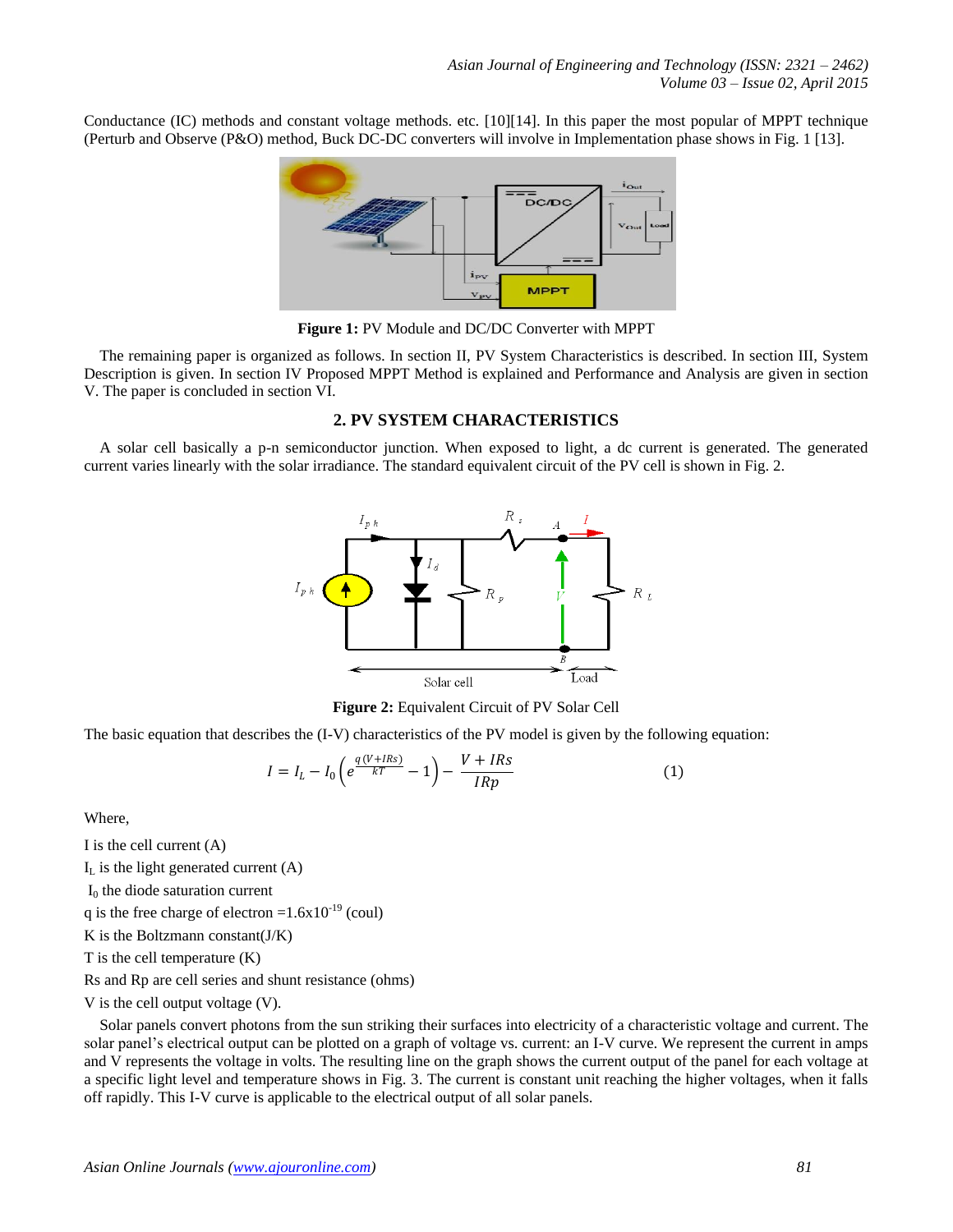Conductance (IC) methods and constant voltage methods. etc. [10][14]. In this paper the most popular of MPPT technique (Perturb and Observe (P&O) method, Buck DC-DC converters will involve in Implementation phase shows in Fig. 1 [13].



**Figure 1:** PV Module and DC/DC Converter with MPPT

 The remaining paper is organized as follows. In section II, PV System Characteristics is described. In section III, System Description is given. In section IV Proposed MPPT Method is explained and Performance and Analysis are given in section V. The paper is concluded in section VI.

#### **2. PV SYSTEM CHARACTERISTICS**

 A solar cell basically a p-n semiconductor junction. When exposed to light, a dc current is generated. The generated current varies linearly with the solar irradiance. The standard equivalent circuit of the PV cell is shown in Fig. 2.



**Figure 2:** Equivalent Circuit of PV Solar Cell

The basic equation that describes the (I-V) characteristics of the PV model is given by the following equation:

$$
I = I_L - I_0 \left( e^{\frac{q(V + IRs)}{kT}} - 1 \right) - \frac{V + IRs}{IRp} \tag{1}
$$

Where,

I is the cell current (A)

 $I<sub>L</sub>$  is the light generated current (A)

 $I_0$  the diode saturation current

q is the free charge of electron =  $1.6x10^{-19}$  (coul)

K is the Boltzmann constant( $J/K$ )

T is the cell temperature (K)

Rs and Rp are cell series and shunt resistance (ohms)

V is the cell output voltage (V).

 Solar panels convert photons from the sun striking their surfaces into electricity of a characteristic voltage and current. The solar panel's electrical output can be plotted on a graph of voltage vs. current: an I-V curve. We represent the current in amps and V represents the voltage in volts. The resulting line on the graph shows the current output of the panel for each voltage at a specific light level and temperature shows in Fig. 3. The current is constant unit reaching the higher voltages, when it falls off rapidly. This I-V curve is applicable to the electrical output of all solar panels.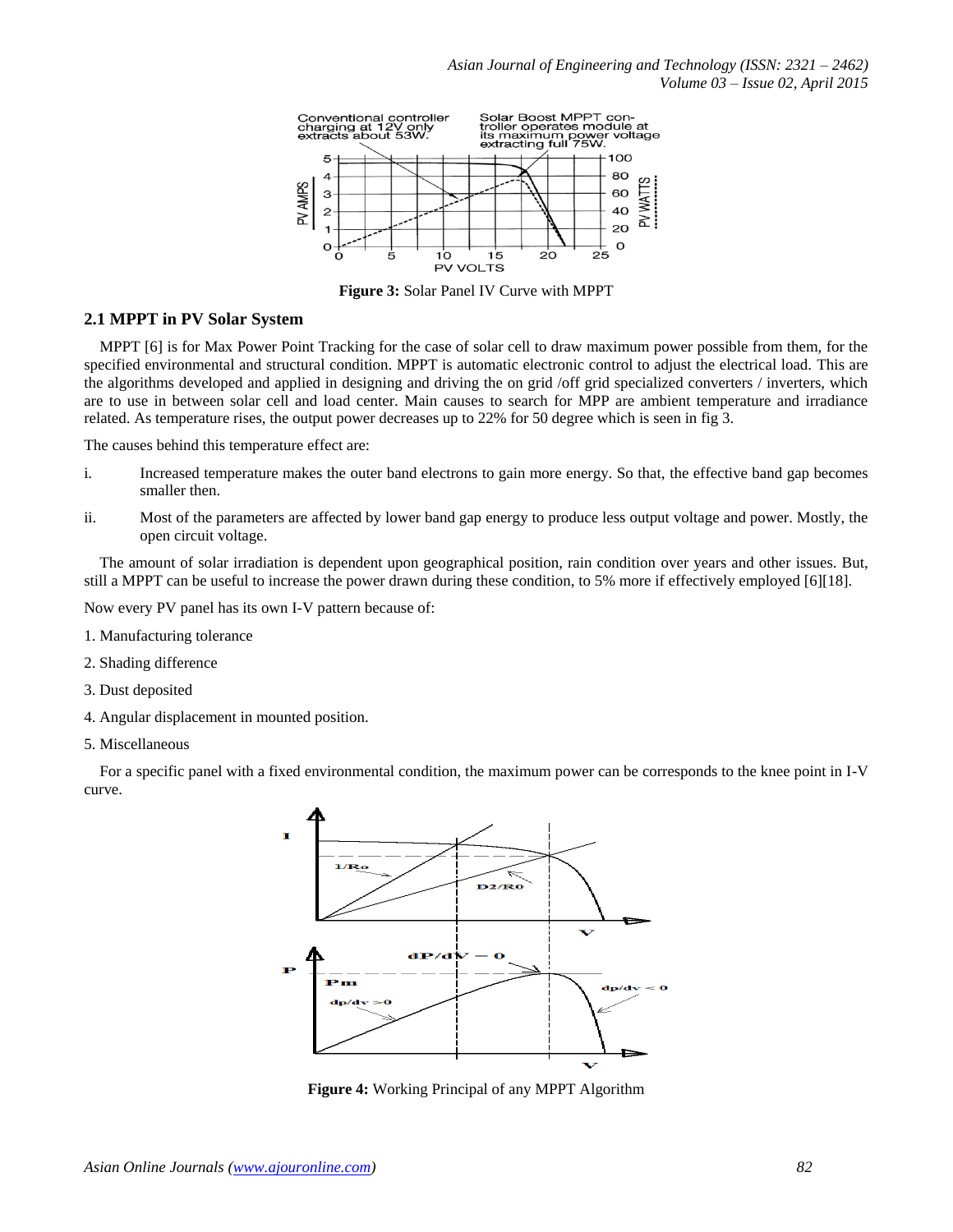

**Figure 3:** Solar Panel IV Curve with MPPT

### **2.1 MPPT in PV Solar System**

 MPPT [6] is for Max Power Point Tracking for the case of solar cell to draw maximum power possible from them, for the specified environmental and structural condition. MPPT is automatic electronic control to adjust the electrical load. This are the algorithms developed and applied in designing and driving the on grid /off grid specialized converters / inverters, which are to use in between solar cell and load center. Main causes to search for MPP are ambient temperature and irradiance related. As temperature rises, the output power decreases up to 22% for 50 degree which is seen in fig 3.

The causes behind this temperature effect are:

- i. Increased temperature makes the outer band electrons to gain more energy. So that, the effective band gap becomes smaller then.
- ii. Most of the parameters are affected by lower band gap energy to produce less output voltage and power. Mostly, the open circuit voltage.

 The amount of solar irradiation is dependent upon geographical position, rain condition over years and other issues. But, still a MPPT can be useful to increase the power drawn during these condition, to 5% more if effectively employed [6][18].

Now every PV panel has its own I-V pattern because of:

- 1. Manufacturing tolerance
- 2. Shading difference
- 3. Dust deposited
- 4. Angular displacement in mounted position.
- 5. Miscellaneous

 For a specific panel with a fixed environmental condition, the maximum power can be corresponds to the knee point in I-V curve.



**Figure 4:** Working Principal of any MPPT Algorithm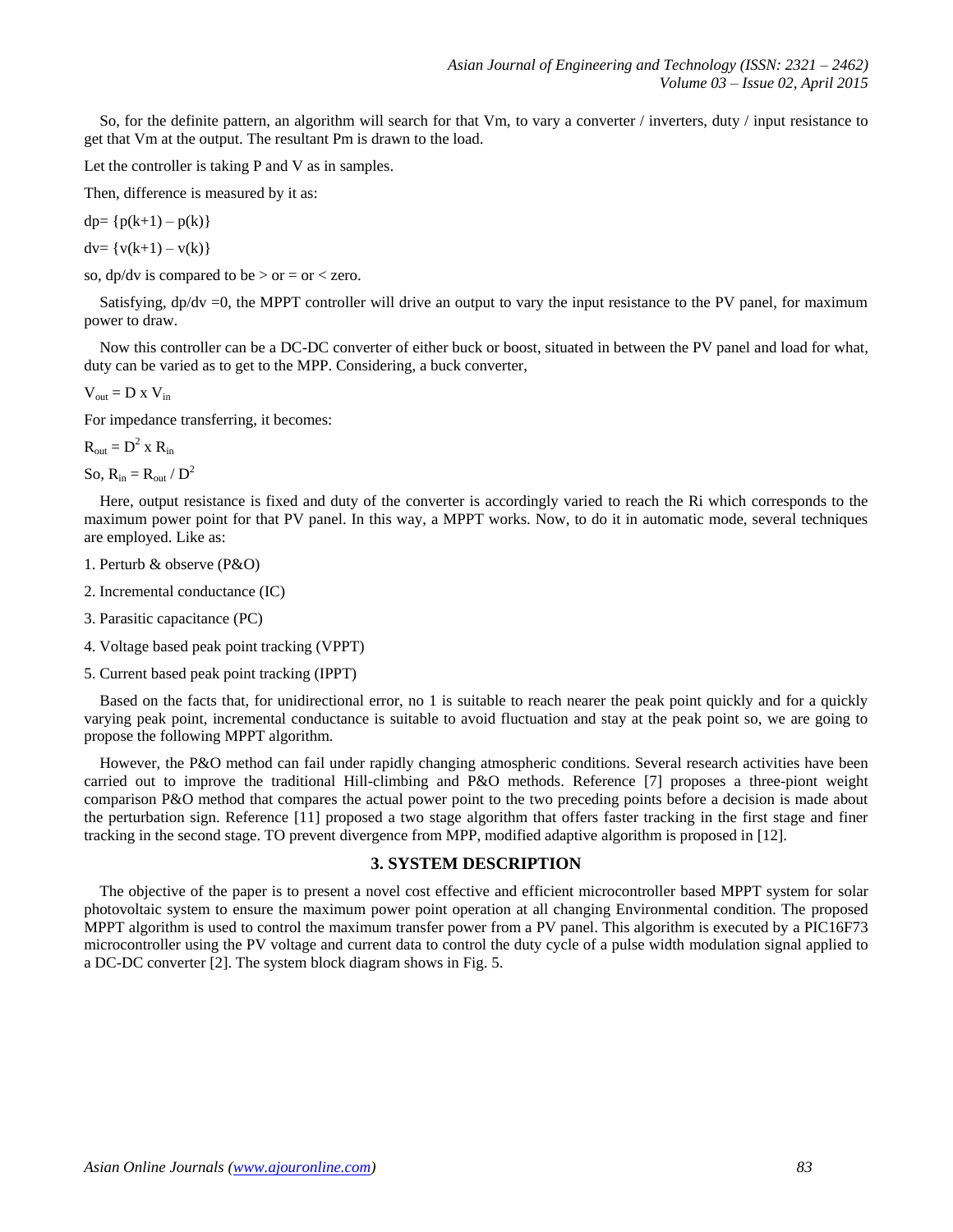So, for the definite pattern, an algorithm will search for that Vm, to vary a converter / inverters, duty / input resistance to get that Vm at the output. The resultant Pm is drawn to the load.

Let the controller is taking P and V as in samples.

Then, difference is measured by it as:

 $dp = \{p(k+1) - p(k)\}\$ 

 $dv = \{v(k+1) - v(k)\}\$ 

so, dp/dv is compared to be  $>$  or  $=$  or  $<$  zero.

Satisfying,  $dp/dv = 0$ , the MPPT controller will drive an output to vary the input resistance to the PV panel, for maximum power to draw.

 Now this controller can be a DC-DC converter of either buck or boost, situated in between the PV panel and load for what, duty can be varied as to get to the MPP. Considering, a buck converter,

 $V_{\text{out}} = D \times V_{\text{in}}$ 

For impedance transferring, it becomes:

 $R_{\text{out}} = D^2 \times R_{\text{in}}$ 

So,  $R_{in} = R_{out} / D^2$ 

 Here, output resistance is fixed and duty of the converter is accordingly varied to reach the Ri which corresponds to the maximum power point for that PV panel. In this way, a MPPT works. Now, to do it in automatic mode, several techniques are employed. Like as:

- 1. Perturb & observe (P&O)
- 2. Incremental conductance (IC)
- 3. Parasitic capacitance (PC)
- 4. Voltage based peak point tracking (VPPT)
- 5. Current based peak point tracking (IPPT)

 Based on the facts that, for unidirectional error, no 1 is suitable to reach nearer the peak point quickly and for a quickly varying peak point, incremental conductance is suitable to avoid fluctuation and stay at the peak point so, we are going to propose the following MPPT algorithm.

However, the P&O method can fail under rapidly changing atmospheric conditions. Several research activities have been carried out to improve the traditional Hill-climbing and P&O methods. Reference [7] proposes a three-piont weight comparison P&O method that compares the actual power point to the two preceding points before a decision is made about the perturbation sign. Reference [11] proposed a two stage algorithm that offers faster tracking in the first stage and finer tracking in the second stage. TO prevent divergence from MPP, modified adaptive algorithm is proposed in [12].

### **3. SYSTEM DESCRIPTION**

 The objective of the paper is to present a novel cost effective and efficient microcontroller based MPPT system for solar photovoltaic system to ensure the maximum power point operation at all changing Environmental condition. The proposed MPPT algorithm is used to control the maximum transfer power from a PV panel. This algorithm is executed by a PIC16F73 microcontroller using the PV voltage and current data to control the duty cycle of a pulse width modulation signal applied to a DC-DC converter [2]. The system block diagram shows in Fig. 5.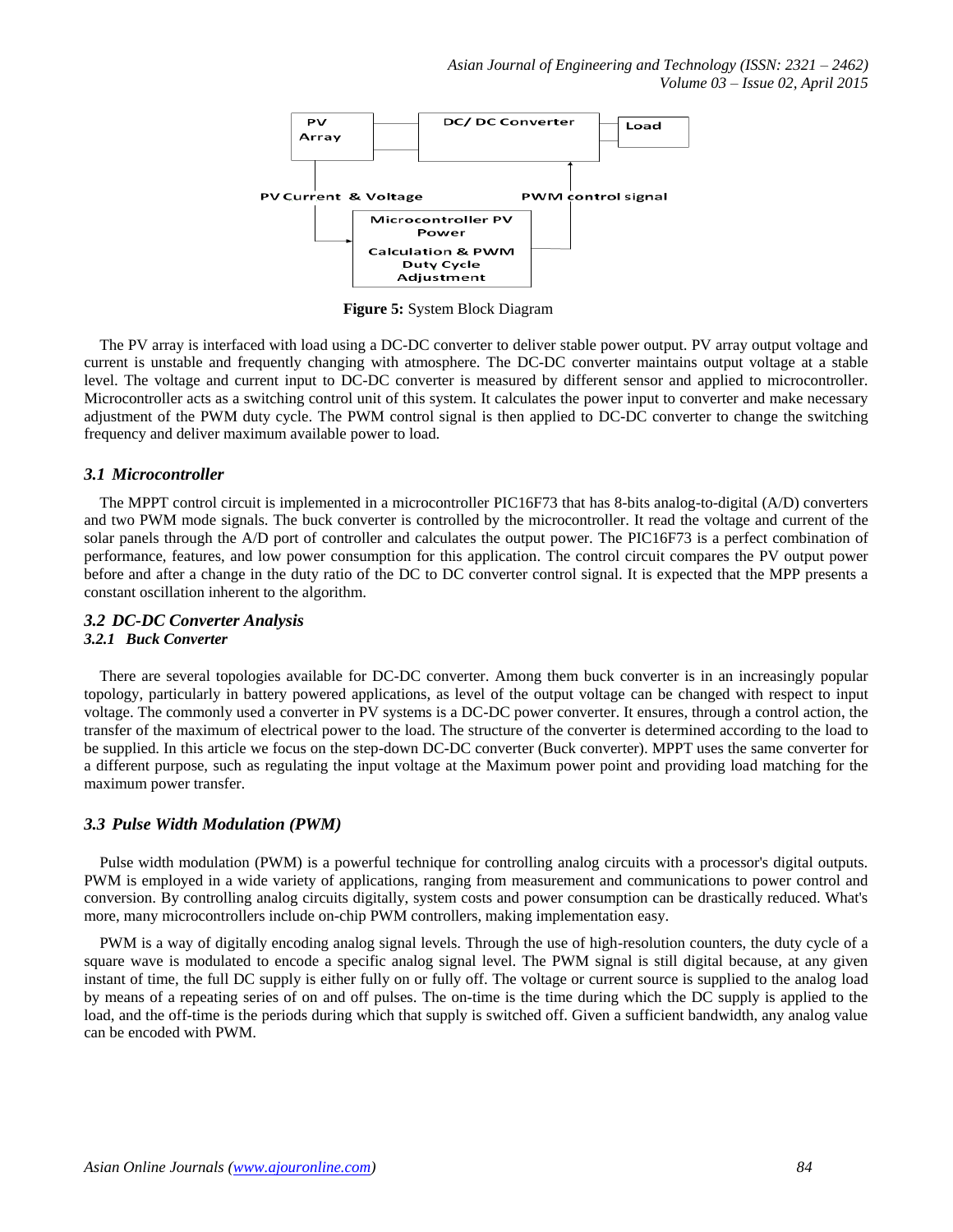

 **Figure 5:** System Block Diagram

 The PV array is interfaced with load using a DC-DC converter to deliver stable power output. PV array output voltage and current is unstable and frequently changing with atmosphere. The DC-DC converter maintains output voltage at a stable level. The voltage and current input to DC-DC converter is measured by different sensor and applied to microcontroller. Microcontroller acts as a switching control unit of this system. It calculates the power input to converter and make necessary adjustment of the PWM duty cycle. The PWM control signal is then applied to DC-DC converter to change the switching frequency and deliver maximum available power to load.

#### *3.1 Microcontroller*

 The MPPT control circuit is implemented in a microcontroller PIC16F73 that has 8-bits analog-to-digital (A/D) converters and two PWM mode signals. The buck converter is controlled by the microcontroller. It read the voltage and current of the solar panels through the A/D port of controller and calculates the output power. The PIC16F73 is a perfect combination of performance, features, and low power consumption for this application. The control circuit compares the PV output power before and after a change in the duty ratio of the DC to DC converter control signal. It is expected that the MPP presents a constant oscillation inherent to the algorithm.

#### *3.2 DC-DC Converter Analysis 3.2.1 Buck Converter*

 There are several topologies available for DC-DC converter. Among them buck converter is in an increasingly popular topology, particularly in battery powered applications, as level of the output voltage can be changed with respect to input voltage. The commonly used a converter in PV systems is a DC-DC power converter. It ensures, through a control action, the transfer of the maximum of electrical power to the load. The structure of the converter is determined according to the load to be supplied. In this article we focus on the step-down DC-DC converter (Buck converter). MPPT uses the same converter for a different purpose, such as regulating the input voltage at the Maximum power point and providing load matching for the maximum power transfer.

#### *3.3 Pulse Width Modulation (PWM)*

 Pulse width modulation (PWM) is a powerful technique for controlling analog circuits with a processor's digital outputs. PWM is employed in a wide variety of applications, ranging from measurement and communications to power control and conversion. By controlling analog circuits digitally, system costs and power consumption can be drastically reduced. What's more, many microcontrollers include on-chip PWM controllers, making implementation easy.

 PWM is a way of digitally encoding analog signal levels. Through the use of high-resolution [counters,](http://www.barrgroup.com/Embedded-Systems/How-To/Counters.php) the duty cycle of a square wave is modulated to encode a specific analog signal level. The PWM signal is still digital because, at any given instant of time, the full DC supply is either fully on or fully off. The voltage or current source is supplied to the analog load by means of a repeating series of on and off pulses. The on-time is the time during which the DC supply is applied to the load, and the off-time is the periods during which that supply is switched off. Given a sufficient bandwidth, any analog value can be encoded with PWM.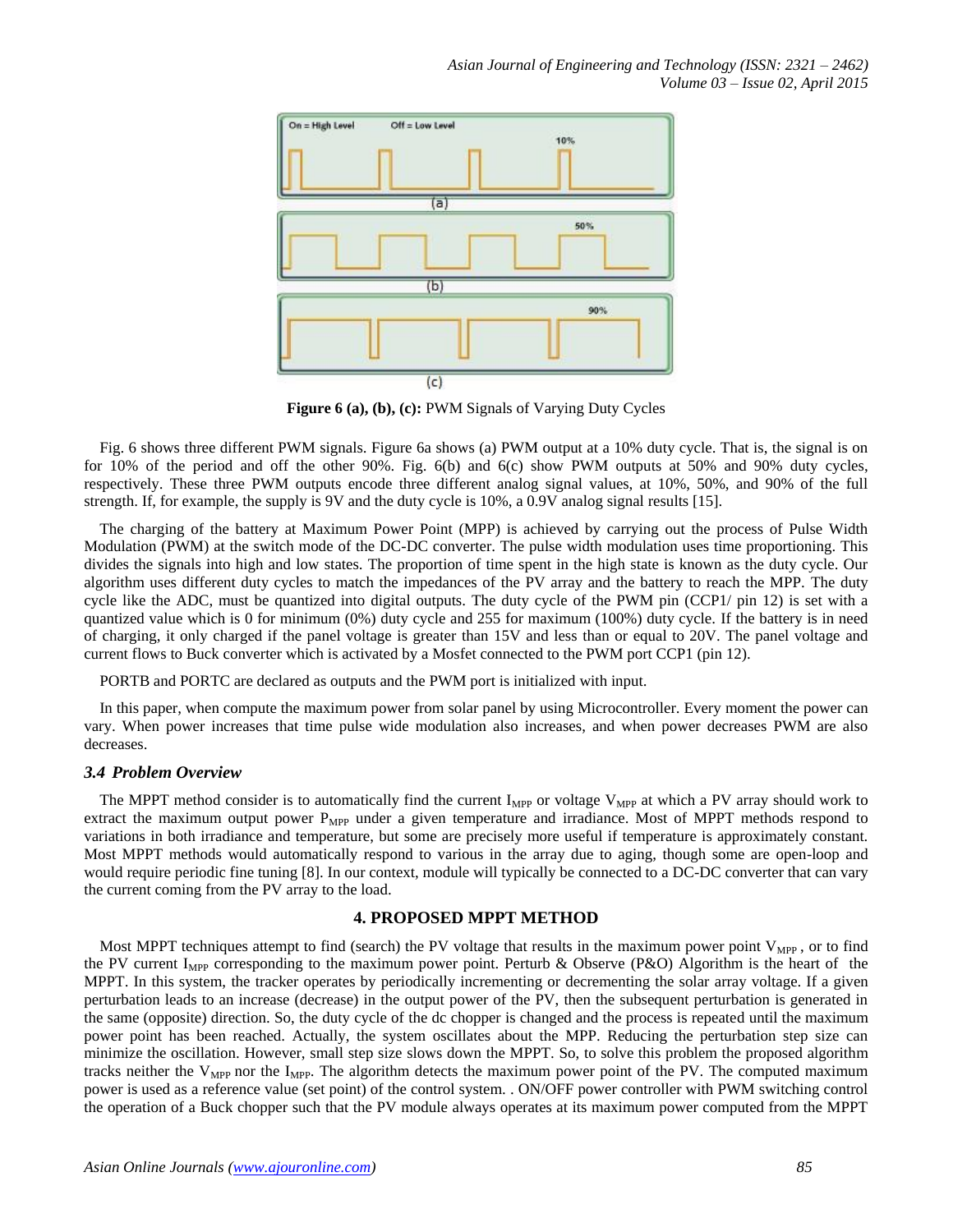

**Figure 6 (a), (b), (c):** PWM Signals of Varying Duty Cycles

 Fig. 6 shows three different PWM signals. Figure 6a shows (a) PWM output at a 10% duty cycle. That is, the signal is on for 10% of the period and off the other 90%. Fig. 6(b) and 6(c) show PWM outputs at 50% and 90% duty cycles, respectively. These three PWM outputs encode three different analog signal values, at 10%, 50%, and 90% of the full strength. If, for example, the supply is 9V and the duty cycle is 10%, a 0.9V analog signal results [15].

 The charging of the battery at Maximum Power Point (MPP) is achieved by carrying out the process of Pulse Width Modulation (PWM) at the switch mode of the DC-DC converter. The pulse width modulation uses time proportioning. This divides the signals into high and low states. The proportion of time spent in the high state is known as the duty cycle. Our algorithm uses different duty cycles to match the impedances of the PV array and the battery to reach the MPP. The duty cycle like the ADC, must be quantized into digital outputs. The duty cycle of the PWM pin (CCP1/ pin 12) is set with a quantized value which is 0 for minimum (0%) duty cycle and 255 for maximum (100%) duty cycle. If the battery is in need of charging, it only charged if the panel voltage is greater than 15V and less than or equal to 20V. The panel voltage and current flows to Buck converter which is activated by a Mosfet connected to the PWM port CCP1 (pin 12).

PORTB and PORTC are declared as outputs and the PWM port is initialized with input.

 In this paper, when compute the maximum power from solar panel by using Microcontroller. Every moment the power can vary. When power increases that time pulse wide modulation also increases, and when power decreases PWM are also decreases.

#### *3.4 Problem Overview*

The MPPT method consider is to automatically find the current  $I_{MPP}$  or voltage  $V_{MPP}$  at which a PV array should work to extract the maximum output power  $P_{MPP}$  under a given temperature and irradiance. Most of MPPT methods respond to variations in both irradiance and temperature, but some are precisely more useful if temperature is approximately constant. Most MPPT methods would automatically respond to various in the array due to aging, though some are open-loop and would require periodic fine tuning [8]. In our context, module will typically be connected to a DC-DC converter that can vary the current coming from the PV array to the load.

# **4. PROPOSED MPPT METHOD**

Most MPPT techniques attempt to find (search) the PV voltage that results in the maximum power point  $V_{\text{MPP}}$ , or to find the PV current  $I_{\text{MPP}}$  corresponding to the maximum power point. Perturb & Observe (P&O) Algorithm is the heart of the MPPT. In this system, the tracker operates by periodically incrementing or decrementing the solar array voltage. If a given perturbation leads to an increase (decrease) in the output power of the PV, then the subsequent perturbation is generated in the same (opposite) direction. So, the duty cycle of the dc chopper is changed and the process is repeated until the maximum power point has been reached. Actually, the system oscillates about the MPP. Reducing the perturbation step size can minimize the oscillation. However, small step size slows down the MPPT. So, to solve this problem the proposed algorithm tracks neither the  $V_{MPP}$  nor the I<sub>MPP</sub>. The algorithm detects the maximum power point of the PV. The computed maximum power is used as a reference value (set point) of the control system. . ON/OFF power controller with PWM switching control the operation of a Buck chopper such that the PV module always operates at its maximum power computed from the MPPT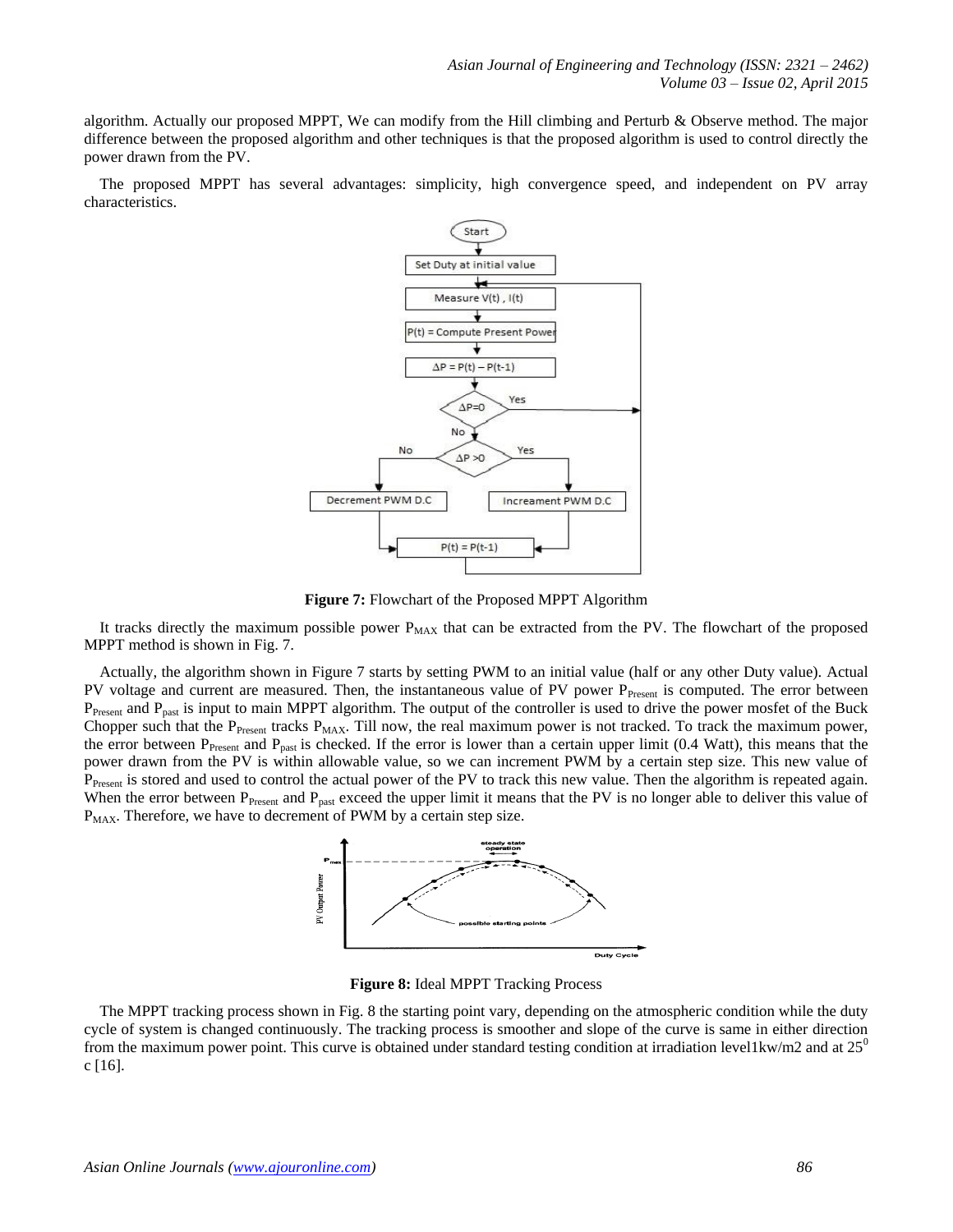algorithm. Actually our proposed MPPT, We can modify from the Hill climbing and Perturb & Observe method. The major difference between the proposed algorithm and other techniques is that the proposed algorithm is used to control directly the power drawn from the PV.

 The proposed MPPT has several advantages: simplicity, high convergence speed, and independent on PV array characteristics.



**Figure 7:** Flowchart of the Proposed MPPT Algorithm

It tracks directly the maximum possible power  $P_{MAX}$  that can be extracted from the PV. The flowchart of the proposed MPPT method is shown in Fig. 7.

 Actually, the algorithm shown in Figure 7 starts by setting PWM to an initial value (half or any other Duty value). Actual PV voltage and current are measured. Then, the instantaneous value of PV power P<sub>Present</sub> is computed. The error between P<sub>Present</sub> and P<sub>past</sub> is input to main MPPT algorithm. The output of the controller is used to drive the power mosfet of the Buck Chopper such that the  $P_{Present}$  tracks  $P_{MAX}$ . Till now, the real maximum power is not tracked. To track the maximum power, the error between  $P_{\text{Present}}$  and  $P_{\text{past}}$  is checked. If the error is lower than a certain upper limit (0.4 Watt), this means that the power drawn from the PV is within allowable value, so we can increment PWM by a certain step size. This new value of P<sub>Present</sub> is stored and used to control the actual power of the PV to track this new value. Then the algorithm is repeated again. When the error between  $P_{\text{Present}}$  and  $P_{\text{past}}$  exceed the upper limit it means that the PV is no longer able to deliver this value of  $P_{MAX}$ . Therefore, we have to decrement of PWM by a certain step size.



**Figure 8:** Ideal MPPT Tracking Process

 The MPPT tracking process shown in Fig. 8 the starting point vary, depending on the atmospheric condition while the duty cycle of system is changed continuously. The tracking process is smoother and slope of the curve is same in either direction from the maximum power point. This curve is obtained under standard testing condition at irradiation level1kw/m2 and at  $25^{\circ}$ c  $[16]$ .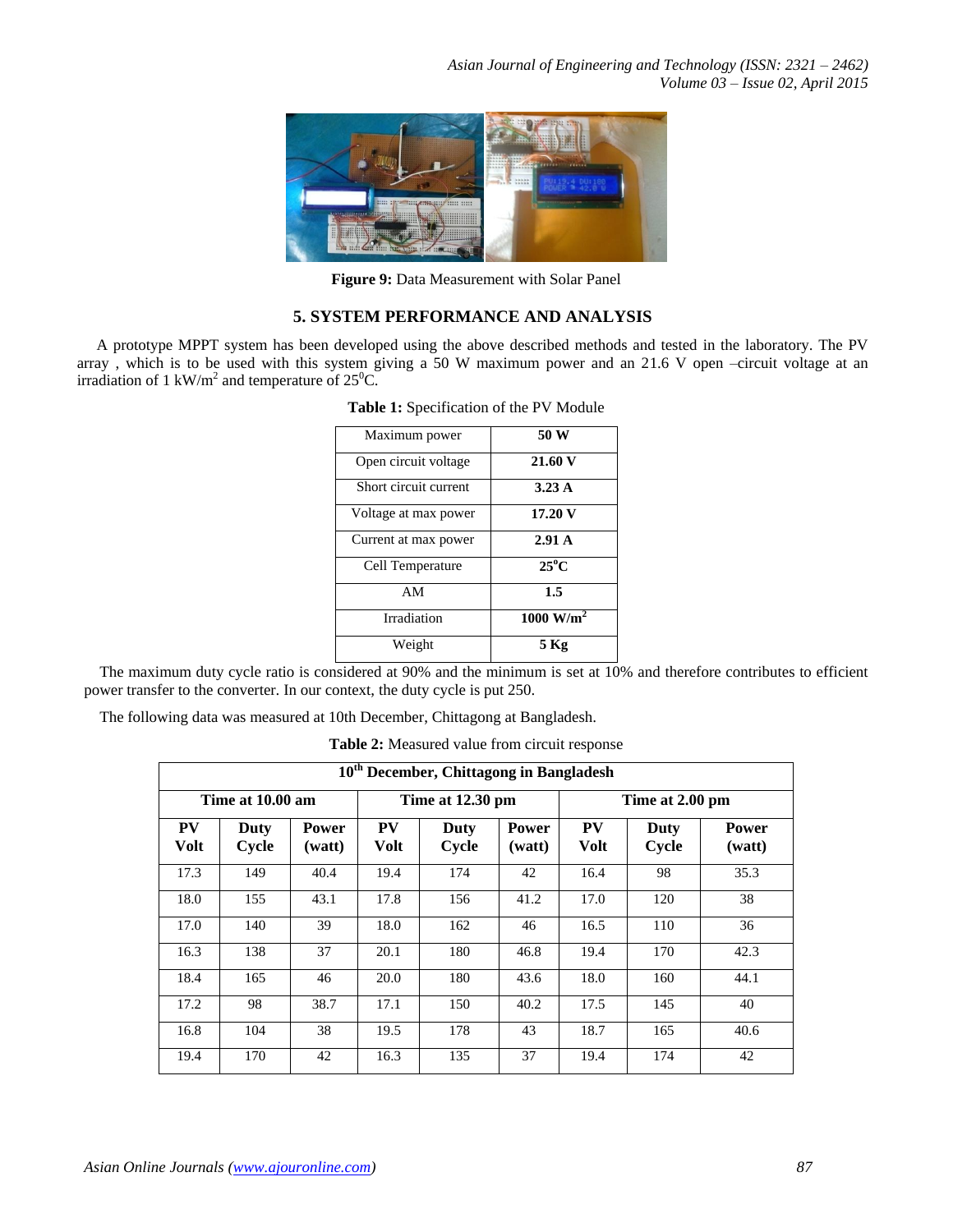

**Figure 9:** Data Measurement with Solar Panel

# **5. SYSTEM PERFORMANCE AND ANALYSIS**

A prototype MPPT system has been developed using the above described methods and tested in the laboratory. The PV array , which is to be used with this system giving a 50 W maximum power and an 21.6 V open –circuit voltage at an irradiation of 1 kW/m<sup>2</sup> and temperature of 25<sup>o</sup>C.

| Maximum power         | 50 W                            |
|-----------------------|---------------------------------|
| Open circuit voltage  | 21.60 V                         |
| Short circuit current | 3.23A                           |
| Voltage at max power  | 17.20 V                         |
| Current at max power  | 2.91A                           |
| Cell Temperature      | $25^{\circ}$ C                  |
| AM                    | 1.5                             |
| Irradiation           | $\overline{1000 \text{ W/m}^2}$ |
| Weight                | 5 Kg                            |

**Table 1:** Specification of the PV Module

 The maximum duty cycle ratio is considered at 90% and the minimum is set at 10% and therefore contributes to efficient power transfer to the converter. In our context, the duty cycle is put 250.

The following data was measured at 10th December, Chittagong at Bangladesh.

**Table 2:** Measured value from circuit response

| 10 <sup>th</sup> December, Chittagong in Bangladesh |               |                        |                   |                      |                        |                   |               |                        |
|-----------------------------------------------------|---------------|------------------------|-------------------|----------------------|------------------------|-------------------|---------------|------------------------|
| Time at 10.00 am                                    |               |                        | Time at 12.30 pm  |                      |                        | Time at 2.00 pm   |               |                        |
| <b>PV</b><br><b>Volt</b>                            | Duty<br>Cycle | <b>Power</b><br>(watt) | PV<br><b>Volt</b> | <b>Duty</b><br>Cycle | <b>Power</b><br>(watt) | PV<br><b>Volt</b> | Duty<br>Cycle | <b>Power</b><br>(watt) |
| 17.3                                                | 149           | 40.4                   | 19.4              | 174                  | 42                     | 16.4              | 98            | 35.3                   |
| 18.0                                                | 155           | 43.1                   | 17.8              | 156                  | 41.2                   | 17.0              | 120           | 38                     |
| 17.0                                                | 140           | 39                     | 18.0              | 162                  | 46                     | 16.5              | 110           | 36                     |
| 16.3                                                | 138           | 37                     | 20.1              | 180                  | 46.8                   | 19.4              | 170           | 42.3                   |
| 18.4                                                | 165           | 46                     | 20.0              | 180                  | 43.6                   | 18.0              | 160           | 44.1                   |
| 17.2                                                | 98            | 38.7                   | 17.1              | 150                  | 40.2                   | 17.5              | 145           | 40                     |
| 16.8                                                | 104           | 38                     | 19.5              | 178                  | 43                     | 18.7              | 165           | 40.6                   |
| 19.4                                                | 170           | 42                     | 16.3              | 135                  | 37                     | 19.4              | 174           | 42                     |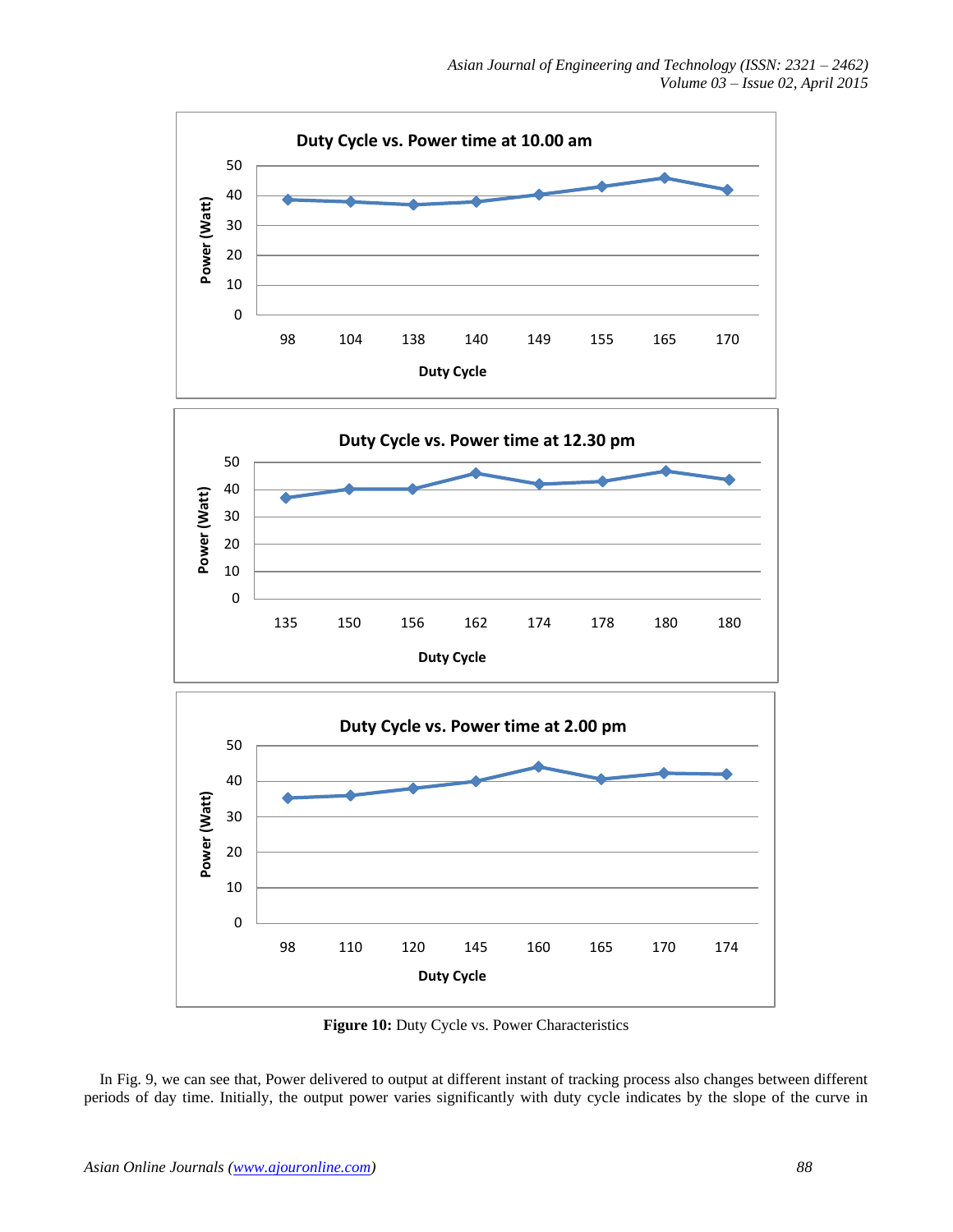

**Figure 10:** Duty Cycle vs. Power Characteristics

 In Fig. 9, we can see that, Power delivered to output at different instant of tracking process also changes between different periods of day time. Initially, the output power varies significantly with duty cycle indicates by the slope of the curve in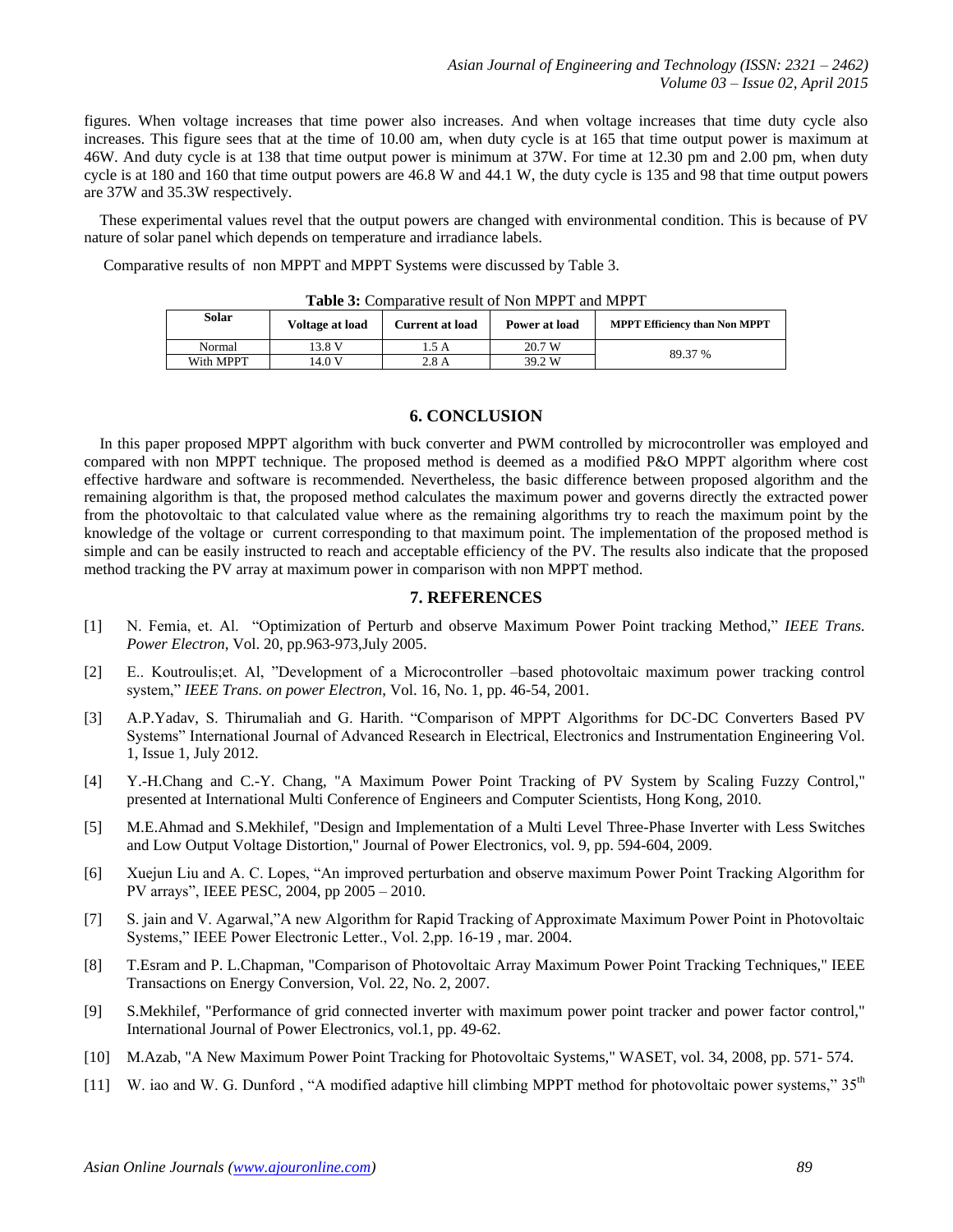figures. When voltage increases that time power also increases. And when voltage increases that time duty cycle also increases. This figure sees that at the time of 10.00 am, when duty cycle is at 165 that time output power is maximum at 46W. And duty cycle is at 138 that time output power is minimum at 37W. For time at 12.30 pm and 2.00 pm, when duty cycle is at 180 and 160 that time output powers are 46.8 W and 44.1 W, the duty cycle is 135 and 98 that time output powers are 37W and 35.3W respectively.

 These experimental values revel that the output powers are changed with environmental condition. This is because of PV nature of solar panel which depends on temperature and irradiance labels.

Comparative results of non MPPT and MPPT Systems were discussed by Table 3.

| Solar     | Voltage at load | <b>Current at load</b> | Power at load | <b>MPPT Efficiency than Non MPPT</b> |  |
|-----------|-----------------|------------------------|---------------|--------------------------------------|--|
| Normal    | 13.8 V          | .5 A                   | 20.7 W        | 89.37 %                              |  |
| With MPPT | 14.0 V          | 2.8 A                  | 39.2 W        |                                      |  |

**Table 3:** Comparative result of Non MPPT and MPPT

#### **6. CONCLUSION**

 In this paper proposed MPPT algorithm with buck converter and PWM controlled by microcontroller was employed and compared with non MPPT technique. The proposed method is deemed as a modified P&O MPPT algorithm where cost effective hardware and software is recommended. Nevertheless, the basic difference between proposed algorithm and the remaining algorithm is that, the proposed method calculates the maximum power and governs directly the extracted power from the photovoltaic to that calculated value where as the remaining algorithms try to reach the maximum point by the knowledge of the voltage or current corresponding to that maximum point. The implementation of the proposed method is simple and can be easily instructed to reach and acceptable efficiency of the PV. The results also indicate that the proposed method tracking the PV array at maximum power in comparison with non MPPT method.

#### **7. REFERENCES**

- [1] N. Femia, et. Al. "Optimization of Perturb and observe Maximum Power Point tracking Method," *IEEE Trans. Power Electron*, Vol. 20, pp.963-973,July 2005.
- [2] E.. Koutroulis;et. Al, "Development of a Microcontroller –based photovoltaic maximum power tracking control system," *IEEE Trans. on power Electron*, Vol. 16, No. 1, pp. 46-54, 2001.
- [3] A.P.Yadav, S. Thirumaliah and G. Harith. "Comparison of MPPT Algorithms for DC-DC Converters Based PV Systems" International Journal of Advanced Research in Electrical, Electronics and Instrumentation Engineering Vol. 1, Issue 1, July 2012.
- [4] Y.-H.Chang and C.-Y. Chang, "A Maximum Power Point Tracking of PV System by Scaling Fuzzy Control," presented at International Multi Conference of Engineers and Computer Scientists, Hong Kong, 2010.
- [5] M.E.Ahmad and S.Mekhilef, "Design and Implementation of a Multi Level Three-Phase Inverter with Less Switches and Low Output Voltage Distortion," Journal of Power Electronics, vol. 9, pp. 594-604, 2009.
- [6] Xuejun Liu and A. C. Lopes, "An improved perturbation and observe maximum Power Point Tracking Algorithm for PV arrays", IEEE PESC, 2004, pp 2005 – 2010.
- [7] S. jain and V. Agarwal,"A new Algorithm for Rapid Tracking of Approximate Maximum Power Point in Photovoltaic Systems," IEEE Power Electronic Letter., Vol. 2,pp. 16-19 , mar. 2004.
- [8] T.Esram and P. L.Chapman, "Comparison of Photovoltaic Array Maximum Power Point Tracking Techniques," IEEE Transactions on Energy Conversion, Vol. 22, No. 2, 2007.
- [9] S.Mekhilef, "Performance of grid connected inverter with maximum power point tracker and power factor control," International Journal of Power Electronics, vol.1, pp. 49-62.
- [10] M.Azab, "A New Maximum Power Point Tracking for Photovoltaic Systems," WASET, vol. 34, 2008, pp. 571- 574.
- [11] W. iao and W. G. Dunford, "A modified adaptive hill climbing MPPT method for photovoltaic power systems,"  $35<sup>th</sup>$